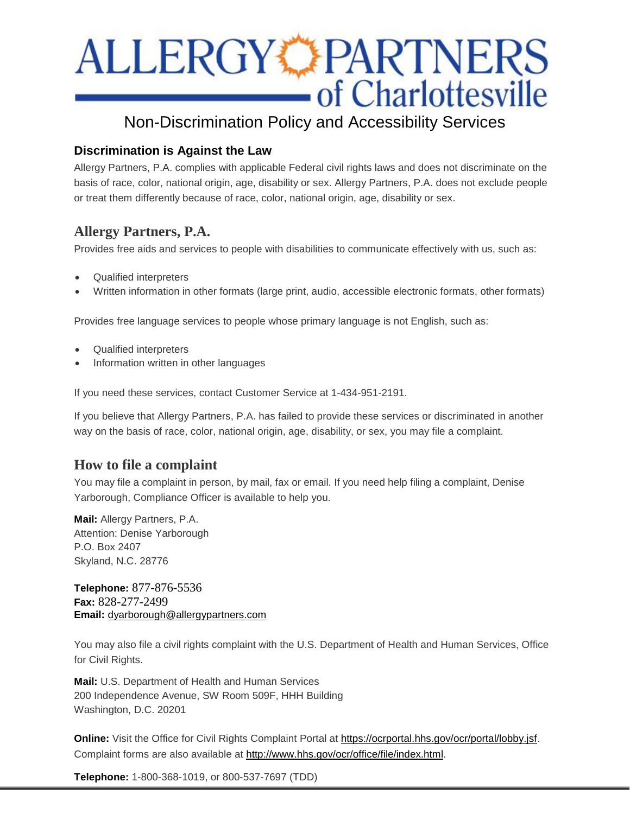# **ALLERGY PARTNERS**<br>of Charlottesville

# Non-Discrimination Policy and Accessibility Services

## **Discrimination is Against the Law**

Allergy Partners, P.A. complies with applicable Federal civil rights laws and does not discriminate on the basis of race, color, national origin, age, disability or sex. Allergy Partners, P.A. does not exclude people or treat them differently because of race, color, national origin, age, disability or sex.

# **Allergy Partners, P.A.**

Provides free aids and services to people with disabilities to communicate effectively with us, such as:

- Qualified interpreters
- Written information in other formats (large print, audio, accessible electronic formats, other formats)

Provides free language services to people whose primary language is not English, such as:

- Qualified interpreters
- Information written in other languages

If you need these services, contact Customer Service at 1-434-951-2191.

If you believe that Allergy Partners, P.A. has failed to provide these services or discriminated in another way on the basis of race, color, national origin, age, disability, or sex, you may file a complaint.

# **How to file a complaint**

You may file a complaint in person, by mail, fax or email. If you need help filing a complaint, Denise Yarborough, Compliance Officer is available to help you.

**Mail:** Allergy Partners, P.A. Attention: Denise Yarborough P.O. Box 2407 Skyland, N.C. 28776

**Telephone:** 877-876-5536 **Fax:** 828-277-2499 **Email:** [dyarborough@allergypartners.com](mailto:dyarborough@allergypartners.com)

You may also file a civil rights complaint with the U.S. Department of Health and Human Services, Office for Civil Rights.

**Mail:** U.S. Department of Health and Human Services 200 Independence Avenue, SW Room 509F, HHH Building Washington, D.C. 20201

**Online:** Visit the Office for Civil Rights Complaint Portal at [https://ocrportal.hhs.gov/ocr/portal/lobby.jsf.](https://ocrportal.hhs.gov/ocr/portal/lobby.jsf) Complaint forms are also available at [http://www.hhs.gov/ocr/office/file/index.html.](http://www.hhs.gov/ocr/office/file/index.html)

**Telephone:** 1-800-368-1019, or 800-537-7697 (TDD)